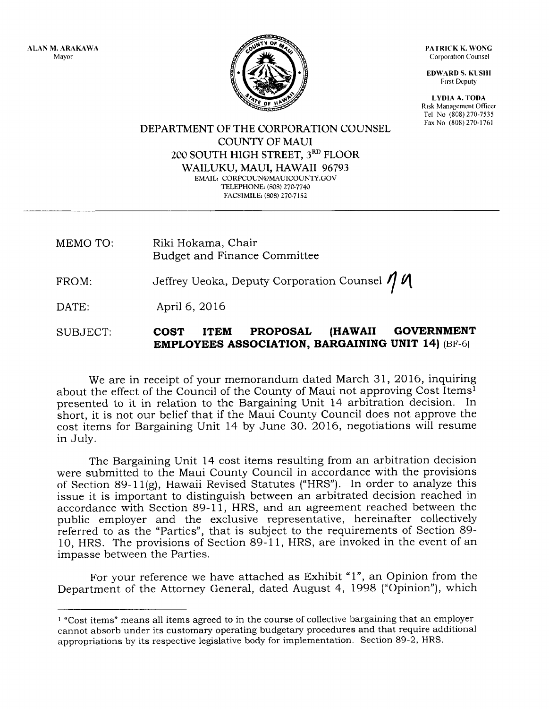ALAN M. ARAKAWA Mayor



PATRICK K. WONG Corporation Counsel

EDWARD S. KUSHI Flrst Deputy

LYDIA A. TODA Risk Management Officer Tel No (808) 270-7535 Fax No (808) 270-1761

DEPARTMENT OF THE CORPORATION COLINSEL COTINTY OF MAUI 200 SOUTH HIGH STREET, 3RD FLOOR WAILUKU, MAUI, HAWAII 96793 EMAIL: CORPCOUN@MAUICOUNTY.GOV TELEPHONE: (808) 270-7740 FACSIMILE: (808) 270-7152

MEMO TO: Riki Hokama, Chair Budget and Finance Committee

FROM: Jeffrey Ueoka, Deputy Corporation Counsel  $\eta$ 

DATE: April 6,2016

## SUBJECT: COST ITEM PROPOSAL (HAWAII GOVERNMENT EMPLOYEES ASSOCIATION, BARGAINING UNIT 14) (BF-6)

We are in receipt of your memorandum dated March 31, 2016, inquiring about the effect of the Council of the County of Maui not approving Cost Itemsl presented to it in relation to the Bargaining Unit 14 arbitration decision. In short, it is not our belief that if the Maui County Council does not approve the cost items for Bargaining Unit 14 by June 30. 2016, negotiations will resume in July.

The Bargaining Unit 14 cost items resulting from an arbitration decision were submitted to the Maui County Council in accordance with the provisions of Section 89-11(g), Hawaii Revised Statutes ("HRS"). In order to analyze this issue it is important to distinguish between an arbitrated decision reached in accordance with Section 89-11, HRS, and an agreement reached between the public employer and the exclusive representative, hereinafter collectively referred to as the "Parties", that is subject to the requirements of Section 89- 10, HRS. The provisions of Section 89-11, HRS, are invoked in the event of an impasse between the Parties.

For your reference we have attached as Exhibit "1", an Opinion from the Department of the Attorney General, dated August 4, 1998 ("Opinion"), which

<sup>&</sup>lt;sup>1</sup> "Cost items" means all items agreed to in the course of collective bargaining that an employer cannot absorb under its customary operating budgetary procedures and that require additional appropriations by its respective legislative body for implementation. Section 89-2, HRS.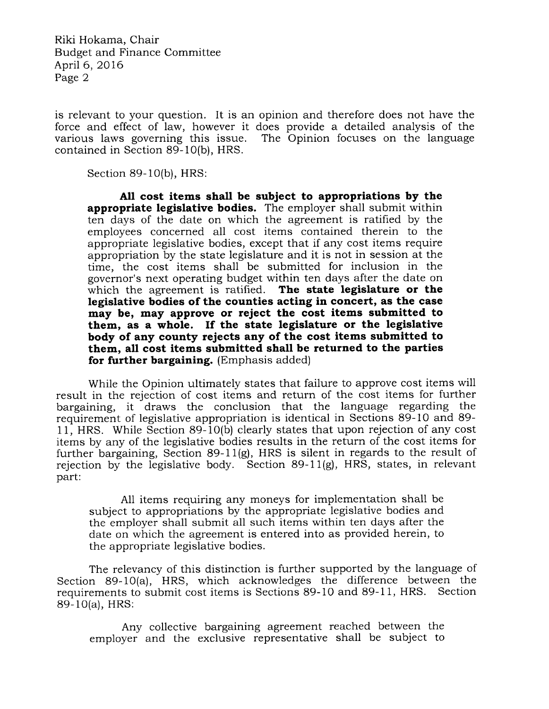Riki Hokama, Chair Budget and Finance Committee April 6,2016 Page 2

is relevant to your question. It is an opinion and therefore does not have the force and effect of law, however it does provide a detailed analysis of the The Opinion focuses on the language. contained in Section 89-10(b), HRS.

Section 89-1O(b), HRS:

All cost items shall be subject to appropriations by the appropriate legislative bodies. The employer shall submit within ten days of the date on which the agreement is ratified by the employees concerned all cost items contained therein to the appropriate legislative bodies, except that if any cost items require appropriation by the state legislature and it is not in session at the time, the cost items shall be submitted for inclusion in the governor's next operating budget within ten days after the date on which the agreement is ratified. The state legislature or the legislative bodies of the counties acting in concert, as the case may be, may approve or reject the cost items submitted to them, as a whole. If the state legislature or the legislative body of any county rejects any of the cost items submitted to them, all cost items submitted shall be returned to the parties for further bargaining. (Emphasis added)

While the Opinion ultimately states that failure to approve cost items will result in the rejection of cost items and return of the cost items for further bargaining, it draws the conclusion that the language regarding the requirement of legislative appropriation is identical in Sections 89-10 and 89- 11, HRS. While Section 89-10(b) clearly states that upon rejection of any cost items by any of the legislative bodies results in the return of the cost items for further bargaining, Section 89-11(g), HRS is silent in regards to the result of rejection by the legislative body. Section 89-11(g), HRS, states, in relevant part:

A11 items requiring any moneys for implementation shall be subject to appropriations by the appropriate legislative bodies and the employer shall submit all such items within ten days after the date on which the agreement is entered into as provided herein, to the appropriate legislative bodies,

The relevancy of this distinction is further supported by the language of Section 89-10(a), HRS, which acknowledges the difference between the requirements to submit cost items is Sections 89-10 and 89-11, HRS. Section 89- 10(a), HRS:

Any collective bargaining agreement reached between the employer and the exclusive representative shall be subject to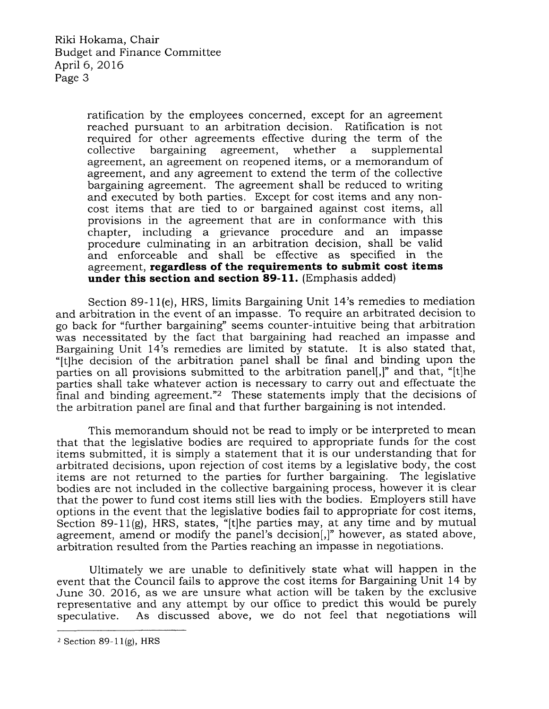ratification by the employees concerned, except for an agreement reached pursuant to an arbitration decision. Ratification is not required for other agreements effective during the term of the collective bargaining agreement, whether a supplemental agreement, an agreement on reopened items, or a memorandum of agreement, and any agreement to extend the term of the collective bargaining agreement. The agreement shall be reduced to writing and executed by both parties. Except for cost items and any noncost items that are tied to or bargained against cost items, all provisions in the agreement that are in conformance with this chapter, including a grievance procedure and an impasse procedure culminating in an arbitration decision, shall be valid and enforceable and shall be effective as specified in the agreement, regardless of the requirements to submit cost items under this section and section 89-11. (Emphasis added)

Section 89-11(e), HRS, limits Bargaining Unit 14's remedies to mediation and arbitration in the event of an impasse. To require an arbitrated decision to go back for "further bargaining" seems counter-intuitive being that arbitration was necessitated by the fact that bargaining had reached an impasse and Bargaining Unit 14's remedies are limited by statute. It is also stated that, "[t]he decision of the arbitration panel shall be final and binding upon the parties on all provisions submitted to the arbitration panel[,]" and that, "[t]he parties shall take whatever action is necessary to carry out and effectuate the final and binding agreement."2 These statements imply that the decisions of the arbitration panel are final and that further bargaining is not intended.

This memorandum should not be read to imply or be interpreted to mean that that the legislative bodies are required to appropriate funds for the cost items submitted, it is simply a statement that it is our understanding that for arbitrated decisions, upon rejection of cost items by a legislative body, the cost items are not returned to the parties for further bargaining. The legislative bodies are not included in the collective bargaining process, however it is clear that the power to fund cost items still lies with the bodies. Employers still have options in the event that the legislative bodies fail to appropriate for cost items, Section 89-11(g), HRS, states, "[t]he parties may, at any time and by mutual agreement, amend or modify the panel's decision[,]" however, as stated above, arbitration resulted from the Parties reaching an impasse in negotiations.

Ultimately we are unable to definitively state what will happen in the event that the Council fails to approve the cost items for Bargaining Unit 14 by June 30.2016, as we are unsure what action will be taken by the exclusive representative and any attempt by our office to predict this would be purely speculative. As discussed above, we do not feel that negotiations will

 $2$  Section 89-11(g), HRS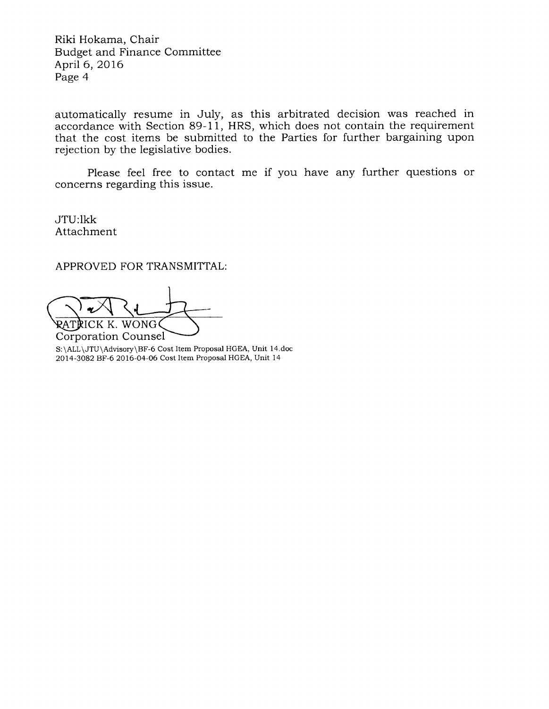Riki Hokama, Chair Budget and Finance Committee April 6,2016 Page 4

automatically resume in July, as this arbitrated decision was reached in accordance with Section 89-11, HRS, which does not contain the requirement that the cost items be submitted to the Parties for further bargaining upon rejection by the legislative bodies.

Please feel free to contact me if you have any further questions or concerns regarding this issue.

JTU:lkk Attachment

APPROVED FOR TRANSMITTAL:

RATPICK K. WONG

S:\ALL\JTU\Advisory\BF-6 Cost Item Proposal HGEA, Unit l4.doc 2014-3082 BF-6 2016-04-06 Cost Item Proposal HGEA, Unit 14 Corporation Counsel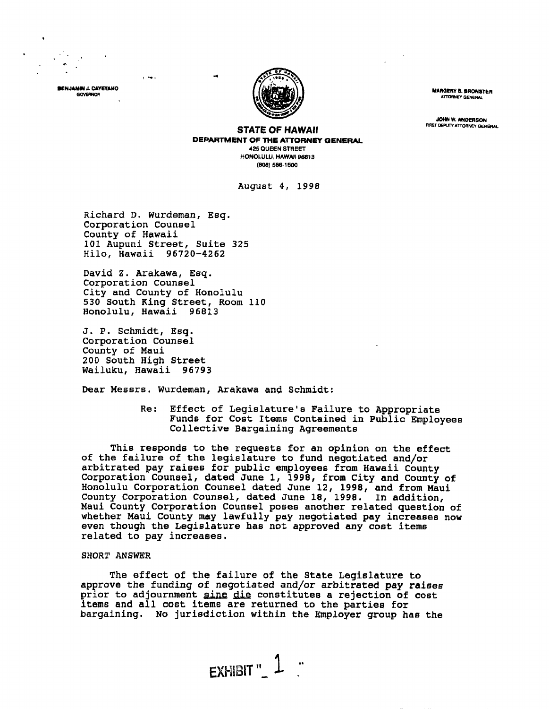

BENJAMIN J. CAYETANO GOVERNOR

**MARGERY 8. BRONSTER** ATTORNEY GENERAL

**JOHN W. ANDERSON** FIRST DEPUTY ATTORNEY GENERAL

**STATE OF HAWAII** DEPARTMENT OF THE ATTORNEY GENERAL **425 QUEEN STREET** HONOLULU, HAWAII 96813 (808) 586-1500

August 4, 1998

Richard D. Wurdeman, Esq. Corporation Counsel County of Hawaii 101 Aupuni Street, Suite 325 Hilo, Hawaii 96720-4262

 $\overline{1}$  and  $\overline{1}$ 

David Z. Arakawa, Esq. Corporation Counsel City and County of Honolulu<br>530 South King Street, Room 110<br>Honolulu, Hawaii 96813

J. P. Schmidt, Esq. Corporation Counsel County of Maui 200 South High Street Wailuku, Hawaii 96793

Dear Messrs. Wurdeman, Arakawa and Schmidt:

 $Re:$ Effect of Legislature's Failure to Appropriate Funds for Cost Items Contained in Public Employees Collective Bargaining Agreements

This responds to the requests for an opinion on the effect of the failure of the legislature to fund negotiated and/or of the raining of the registration of the hogocitical unique<br>arbitrated pay raises for public employees from Hawaii County<br>Corporation Counsel, dated June 12, 1998, and from Maui<br>County Corporation Counsel, dated June 18, Maui County Corporation Counsel poses another related question of whether Maui County may lawfully pay negotiated pay increases now even though the Legislature has not approved any cost items related to pay increases.

## **SHORT ANSWER**

The effect of the failure of the State Legislature to approve the funding of negotiated and/or arbitrated pay raises prior to adjournment sine die constitutes a rejection of cost items and all cost items are returned to the parties for bargaining. No jurisdiction within the Employer group has the

 $F$ XHIBIT"  $1$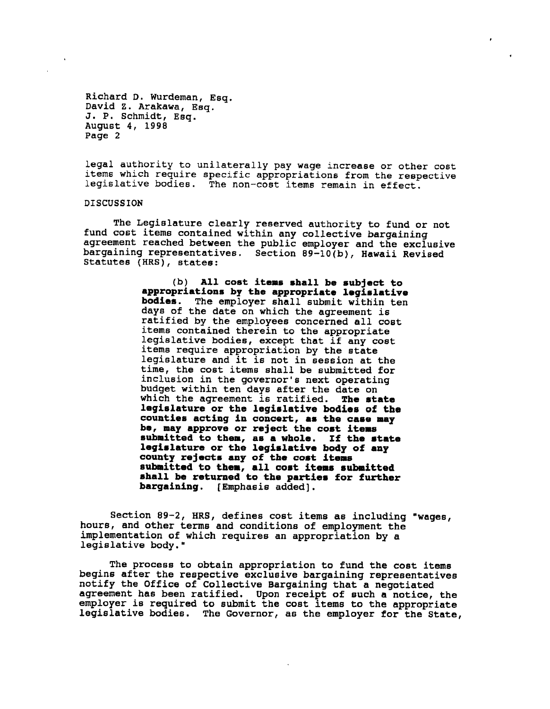legal authority to unilaterally pay wage increase or other cost items which require specific appropriations from the respective legislative bodies. The non-cost items remain in effect.

## DISCUSSION

The Legislature clearly reserved authority to fund or not fund cost items contained within any collective bargaining agreement reached between the public employer and the exclusive bargaining representatives. Section 89-10(b), Hawaii Revised Statutes (HRS), states:

> (b) All cost items shall be subject to<br>appropriations by the appropriate legislative<br>bodies. The employer shall submit within ten<br>days of the date on which the agreement is<br>ratified by the employees concerned all cost<br>rati county rejects any of the cost items<br>submitted to them, all cost items submitted<br>shall be returned to the parties for further<br>bargaining. [Emphasis added].

Section 89-2, HRS, defines cost items as including "wages, hours, and other terms and conditions of employment the implementation of which requires an appropriation by a legislative body."

The process to obtain appropriation to fund the cost items<br>begins after the respective exclusive bargaining representatives<br>notify the Office of Collective Bargaining that a negotiated<br>agreement has been ratified. Upon rec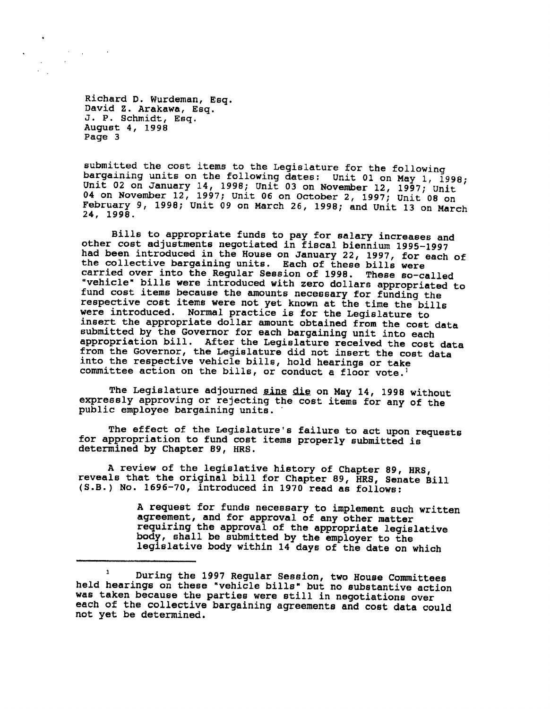$\mathcal{A}=\mathcal{A}^{\mathcal{A}}$  , where  $\mathcal{A}^{\mathcal{A}}$ 

 $\sim$ 

 $\sim$  $\epsilon_{\rm{max}}$ 

submitted the cost items to the Legislature for the following<br>bargaining units on the following dates: Unit 01 on May 1, 1998;<br>Unit 02 on January 14, 1998; Unit 03 on November 12, 1997; Unit<br>04 on November 12, 1997; Unit 0

Bills to appropriate funds to pay for salary increases and<br>other cost adjustments negotiated in fiscal biennium 1995-1997<br>had been introduced in the House on January 22, 1997, for each of<br>the collective bargaining units. E insert the appropriate dollar amount obtained from the cost data submitted by the Governor for each bargaining unit into each appropriation bill. After the Legislature received the cost data<br>from the Governor, the Legislature did not insert the cost data<br>into the respective vehicle bills, hold hearings or take<br>committee action on the bills, or co

The Legislature adjourned sine die on May 14, 1998 without expressly approving or rejecting the cost items for any of the public employee bargaining units.

The effect of the Legislature's failure to act upon requests for appropriation to fund cost items properly submitted is determined by Chapter 89, HRS.

A review of the legislative history of Chapter 89, HRS, reveals that the original bill for Chapter 89, HRS, Senate Bill (S.B.) No. 1696-70, introduced in 1970 read as follows:

A request for funds necessary to implement such written<br>agreement, and for approval of any other matter<br>requiring the approval of the appropriate legislative<br>body, shall be submitted by the employer to the<br>legislative body

<sup>&</sup>lt;sup>1</sup> During the 1997 Regular Session, two House Committees held hearings on these "vehicle bills" but no substantive action was taken because the parties were still in negotiations over each of the collective bargaining agreements and cost data could not yet be determined.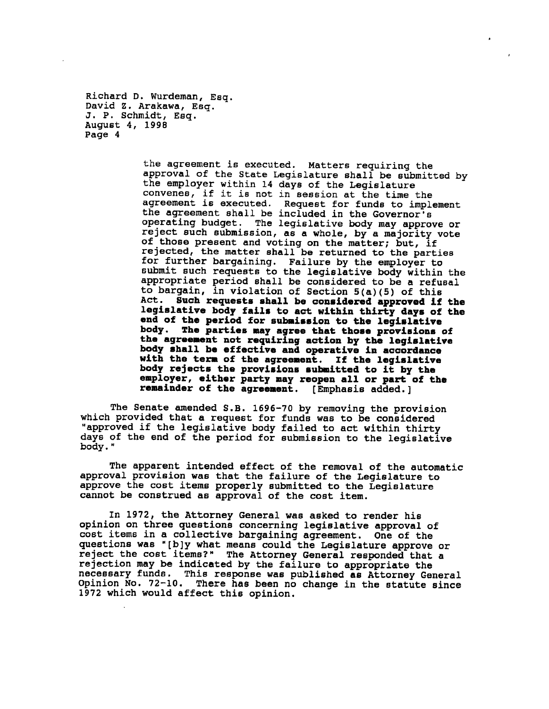> the agreement is executed. Matters requiring the approval of the State Legislature shall be submitted by the employer within 14 days of the Legislature convenes, if it is not in session at the time the<br>agreement is executed. Request for funds to imple Request for funds to implement the agreement shall be included in the Governor's operating budget. The legislative body may approve or reject such submission, as a whole, by a majority vote of those present and voting on the matter; but, if rejected, the matter shall be returned to the parties for further bargaining. Failure by the employer to submit such requests to the legislative body within the appropriate period shall be considered to be a refusal to bargain, in violation of Section 5(a)(5) of this Act. Such requests shall be considered approved if the legislative body fails to act within thirty days of the end of the period for submission to the legislative body. The parties may agree that those provisions of the agreement not requiring action by the legislative body shall be effective and operative in accordance with the term of the agreement. If the legislative body rejects the provisions submitted to it by the employer, either party may reopen all or part of the remainder of the agreement. [Emphasis added.]

The Senate amended S.B. 1696-70 by removing the provision which provided that a request for funds was to be considered "approved if the legislative body failed to act within thirty days of the end of the period for submission to the legislative body."

The apparent intended effect of the removal of the automatic approval provision was that the failure of the Legislature to approve the cost items properly submitted to the Legislature cannot be construed as approval of the cost item.

In 1972, the Attorney General was asked to render his opinion on three questions concerning legislative approval of cost items in a collective bargaining agreement. One of the questions was "[b]y what means could the Legislature approve or reject the cost items?" The Attorney General responded that a rejection may be indicated by the failure to appropriate the necessary funds. This response was published as Attorney General Opinion No. 72-10. There has been no change in the statute since 1972 which would affect this opinion.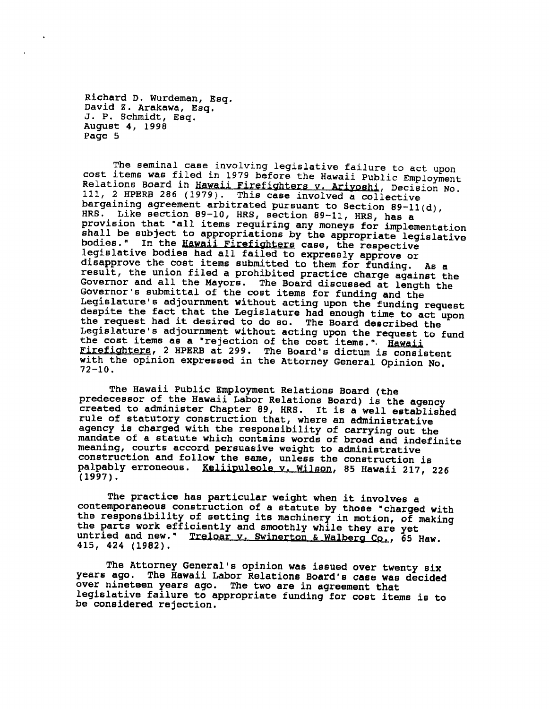The seminal case involving legislative failure to act upon cost items was filed in 1979 before the Hawaii Public Employment Relations Board in Hawaii Firefighters v. Ariyoshi, Decision No. 111, 2 HPERB 286 (1979). This case involved a collective bargaining agreement arbitrated pursuant to Section 89-11(d), Like section 89-10, HRS, section 89-11, HRS, has a HRS. provision that "all items requiring any moneys for implementation shall be subject to appropriations by the appropriate legislative In the Hawall Firefighters case, the respective bodies." legislative bodies had all failed to expressly approve or disapprove the cost items submitted to them for funding. As a result, the union filed a prohibited practice charge against the Governor and all the Mayors. The Board discussed at length the Governor's submittal of the cost items for funding and the Legislature's adjournment without acting upon the funding request despite the fact that the Legislature had enough time to act upon the request had it desired to do so. The Board described the Legislature's adjournment without acting upon the request to fund the cost items as a "rejection of the cost items.". Hawaii Firefighters, 2 HPERB at 299. The Board's dictum is consistent with the opinion expressed in the Attorney General Opinion No.  $72 - 10$ .

The Hawaii Public Employment Relations Board (the predecessor of the Hawaii Labor Relations Board) is the agency created to administer Chapter 89, HRS. It is a well established rule of statutory construction that, where an administrative agency is charged with the responsibility of carrying out the mandate of a statute which contains words of broad and indefinite meaning, courts accord persuasive weight to administrative construction and follow the same, unless the construction is palpably erroneous. Keliipuleole v. Wilson, 85 Hawaii 217, 226  $(1997)$ .

The practice has particular weight when it involves a contemporaneous construction of a statute by those "charged with the responsibility of setting its machinery in motion, of making the parts work efficiently and smoothly while they are yet untried and new." Treloar v. Swinerton & Walberg Co., 65 Haw. 415, 424 (1982).

The Attorney General's opinion was issued over twenty six years ago. The Hawaii Labor Relations Board's case was decided over nineteen years ago. The two are in agreement that legislative failure to appropriate funding for cost items is to be considered rejection.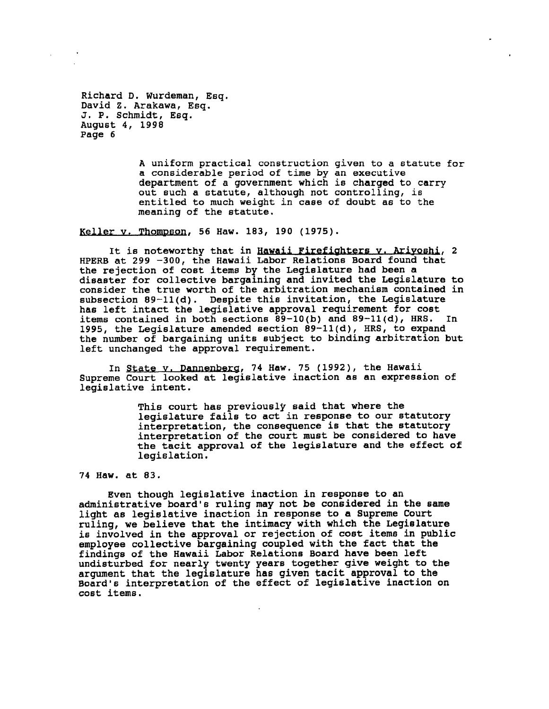> A uniform practical eonstruction given to a etatute for a considerable period of time by an executive department of a government which is charged to carry out such a statute, although not controlling, is entitled to much weight in case of doubt as to the meaning of the statute.

Keller v. Thompeon, 56 Haw. 183, 190 (1975).

It is noteworthy that in Hawaii Firefighters v. Ariyoshi, 2 HPERB at 299 -300, the Hawaii Labor Relations Board found that the rejection of cost items by the Legislature had been a disaster for collective bargaining and invited the Legislature to coneider the true worth of the arbitration mechanism contained in subsection  $89-11(d)$ . Despite this invitation, the Legislature has left intact the legislative approval requirement for cost items contained in both sections  $\overline{89} - 10(b)$  and  $89 - 11(d)$ , HRS. In 1995, the Legislature amended section  $89-11(d)$ , HRS, to expand the number of bargaining units subject to binding arbitration but left unchanged the approval requirement.

In State v. Dannenberg, 74 Haw. 75 (1992), the Hawaii Supreme Court looked at legislative inaction as an expression of legislative intent.

> This court has previously said that where the legislature fails to act in response to our statutory interpretation, the consequence is that the statutory interpretation, the consequence is that the statutory interpretation of the court must be considered to have the tacit approval of the legialature and the effect of legislation.

## 74 Haw. at 83,

Even though legislative inaction in responee to an administrative board's ruling may not be considered in the same light ae legielative inaction in reaponae to a Supreme Court ruling, we believe that the intimacy with which the Legislature is involved in the approval or rejection of cost items in public employee collective bargaining coupled with the fact that the findinga of the Hawaii Labor Relatione Board have been left undisturbed for nearly twenty years together give weight to the argument that the legislature has given tacit approval to the Board's interpretation of the effect of legislative inaction on cost iteme.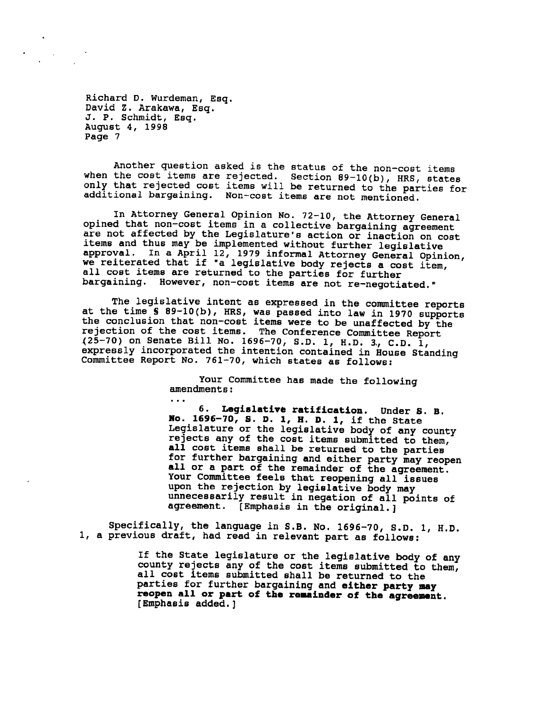$\ddotsc$ 

Another question asked is the status of the non-cost items when the cost items are rejected. Section  $89-10(b)$ , HRS, states only that rejected cost items will be returned to the parties for additional bargaining. Non-cost items are not mentioned.

In Attorney General Opinion No. 72-10, the Attorney General opined that non-cost items in a collective bargaining agreement are not affected by the Legislature's action or inaction on cost items and thus may be implemented without further legislative In a April 12, 1979 informal Attorney General Opinion, approval. we reiterated that if "a legislative body rejects a cost item, all cost items are returned to the parties for further bargaining. However, non-cost items are not re-negotiated."

The legislative intent as expressed in the committee reports at the time \$ 89-10(b), HRS, was passed into law in 1970 supports<br>the conclusion that non-cost items were to be unaffected by the rejection of the cost items. The Conference Committee Report (25-70) on Senate Bill No. 1696-70, S.D. 1, H.D. 3, C.D. 1, expressly incorporated the intention contained in House Standing Committee Report No. 761-70, which states as follows:

> Your Committee has made the following amendments:

6. Legislative ratification. Under S. B. No. 1696-70, S. D. 1, H. D. 1, if the State<br>Legislature or the legislative body of any county rejects any of the cost items submitted to them, all cost items shall be returned to the parties for further bargaining and either party may reopen all or a part of the remainder of the agreement. Your Committee feels that reopening all issues upon the rejection by legislative body may unnecessarily result in negation of all points of agreement. [Emphasis in the original.]

Specifically, the language in S.B. No. 1696-70, S.D. 1, H.D. 1, a previous draft, had read in relevant part as follows:

> If the State legislature or the legislative body of any county rejects any of the cost items submitted to them, all cost items submitted shall be returned to the parties for further bargaining and either party may reopen all or part of the remainder of the agreement. [Emphasis added.]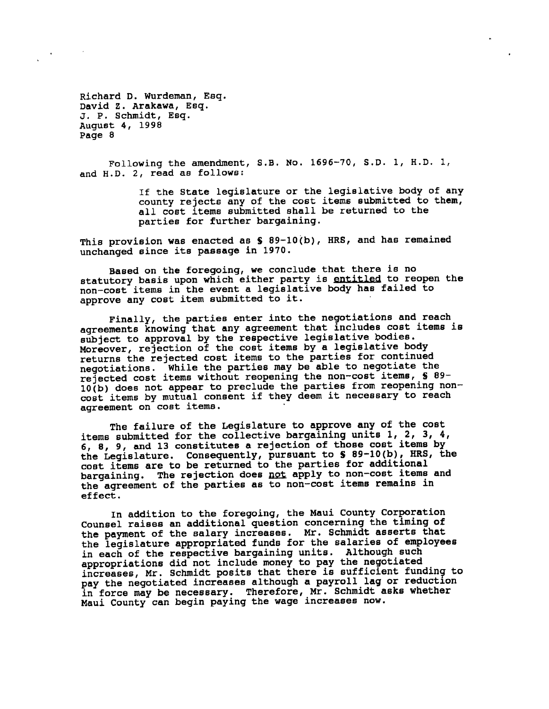Following the amendment, S.B. No. 1696-70, S.D. 1, H.D. 1, and H.D. 2, read as follows:

> If the State legislature or the legislative body of any county rejects any of the cost items submitted to them, all cost items submitted shall be returned to the parties for further bargaining.

This provision was enacted as \$ 89-10(b), HRS, and has remained unchanged since its passage in 1970.

Based on the foregoing, we conclude that there is no statutory basis upon which either party is entitled to reopen the non-cost items in the event a legislative body has failed to approve any cost item submitted to it.

Finally, the parties enter into the negotiations and reach agreements knowing that any agreement that includes cost items is subject to approval by the respective legislative bodies. Moreover, rejection of the cost items by a legislative body returns the rejected cost items to the parties for continued negotiations. While the parties may be able to negotiate the rejected cost items without reopening the non-cost items, § 89-10(b) does not appear to preclude the parties from reopening noncost items by mutual consent if they deem it necessary to reach agreement on cost items.

The failure of the Legislature to approve any of the cost items submitted for the collective bargaining units 1, 2, 3, 4, 6, 8, 9, and 13 constitutes a rejection of those cost items by the Legislature. Consequently, pursuant to \$ 89-10(b), HRS, the cost items are to be returned to the parties for additional bargaining. The rejection does not apply to non-cost items and the agreement of the parties as to non-cost items remains in effect.

In addition to the foregoing, the Maui County Corporation Counsel raises an additional question concerning the timing of the payment of the salary increases. Mr. Schmidt asserts that the legislature appropriated funds for the salaries of employees in each of the respective bargaining units. Although such appropriations did not include money to pay the negotiated increases, Mr. Schmidt posits that there is sufficient funding to pay the negotiated increases although a payroll lag or reduction in force may be necessary. Therefore, Mr. Schmidt asks whether Maui County can begin paying the wage increases now.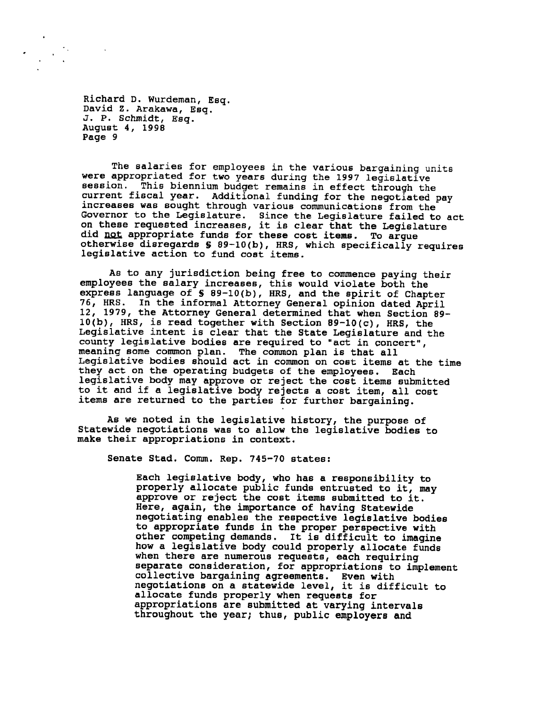The salaries for employees in the various bargaining units were appropriated for two years during the 1997 legislative session. This biennium budget remains in effect through the current fiscal year. Additional funding for the negotiated pay increases was sought through various communications from the Governor to the Legislature. Since the Legislature failed to act on these requested increases, it is clear that the Legislature did not appropriate funds for these cost items. To argue otherwise disregards \$ 89-10(b), HRS, which specifically requires legislative action to fund cost items.

As to any jurisdiction being free to commence paying their employees the salary increases, this would violate both the express language of 5 89-10(b), HRS, and the spirit of Chapter 76, HRS. In the informal Attorney General opinion dated April 12, 1979, the Attorney General determined that when Section 89- $10(b)$ , HRS, is read together with Section 89-10(c), HRS, the Legislative intent is clear that the State Legislature and the county legislative bodies are required to "act in concert", meaning some common plan. The common plan is that all Legislative bodies should act in common on cost items at the time they act on the operating budgets of the employees. Each legislative body may approve or reject the cost items submitted to it and if a legislative body rejects a cost item, all cost items are returned to the parties for further bargaining.

As we noted in the legislative history, the purpose of Statewide negotiations was to allow the legislative bodies to make their appropriations in context.

Senate Stad. Comm. Rep. 745-70 states:

Each legislative body, who has a responsibility to properly allocate public funds entrusted to it, may approve or reject the cost items submitted to it. Here, again, the importance of having Statewide negotiating enables the respective legislative bodies to appropriate funds in the proper perspective with other competing demands. It is difficult to imagine how a legislative body could properly allocate funds when there are numerous requests, each requiring separate consideration, for appropriations to implement collective bargaining agreements. Even with<br>negotiations on a statewide level, it is difficult to allocate funds properly when requests for appropriations are submitted at varying intervals throughout the year; thus, public employers and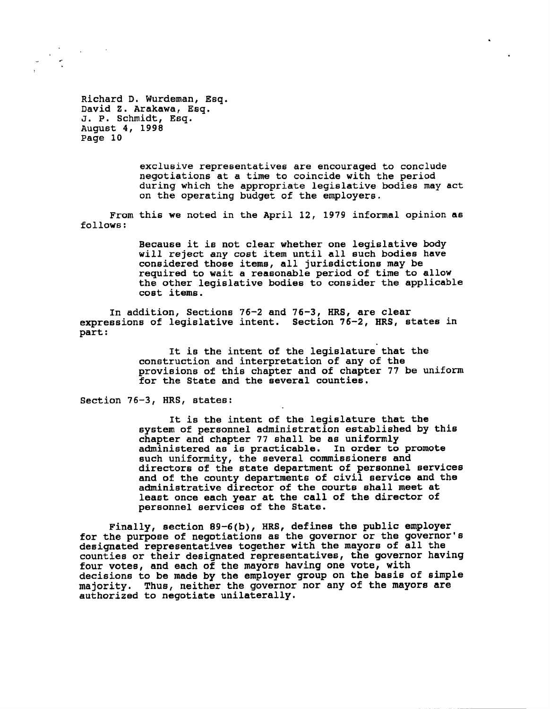

> exclusive representatives are encouraged to conclude negotiations at a time to coincide with the period during which the appropriate legislative bodiea may act on the operating budget of the employers.

From this we noted in the April 12, 1979 informal opinion as follows:

> Because it is not clear whether one legislative body will reject any cost item until all such bodies have considered those items, all jurisdictions may be required to wait a reasonable period of time to allow the other legislative bodiee to coneider the applicable cost items.

In addition, Sections 76-2 and 76-3, IIRS, are clear expressions of legislative intent. Section  $76-2$ , HRS, states in part:

> It is the intent of the legislature that the conetruction and interpretation of any of the provisions of this chapter and of chapter 77 be uniform for the State and the several counties.

Section 76-3, HRS, states:

It is the intent of the legialature that the system of personnel administration established by this chapter and chapter 77 shall be as uniformly administered as is practicable. In order to promote euch uniformity, the several commissioners and directors of the state department of personnel services and of the county departments of civil service and the administrative director of the courts shall meet at least once each year at the call of the director of pereonnel eervicee of the State.

Finally, section  $89-6(b)$ , HRS, defines the public employer for the purpose of negotiations as the governor or the governor's designated representatives together with the mayors of all the counties or their designated representatives, the governor having four votee, and each of the nayora having one vote, with decisions to be made by the employer group on the basis of simple majority. Thus, neither the governor nor any of the mayors are authorized to negotiate unilaterally.